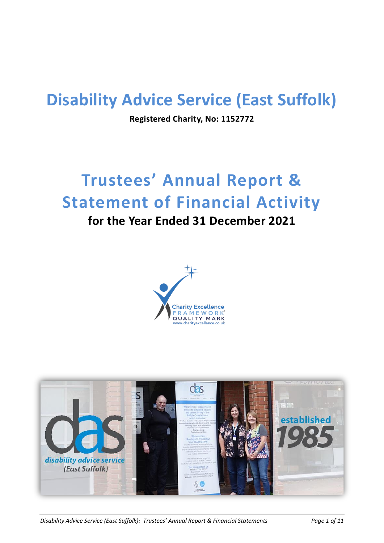# **Disability Advice Service (East Suffolk)**

**Registered Charity, No: 1152772**

# **Trustees' Annual Report & Statement of Financial Activity**

# **for the Year Ended 31 December 2021**





*Disability Advice Service (East Suffolk): Trustees' Annual Report & Financial Statements Page 1 of 11*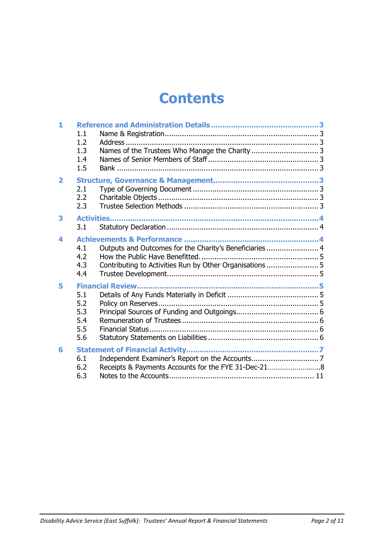# **Contents**

| $\mathbf{1}$            |     |                                                          |  |
|-------------------------|-----|----------------------------------------------------------|--|
|                         | 1.1 |                                                          |  |
|                         | 1.2 |                                                          |  |
|                         | 1.3 |                                                          |  |
|                         | 1.4 |                                                          |  |
|                         | 1.5 |                                                          |  |
| $\overline{\mathbf{2}}$ |     |                                                          |  |
|                         | 2.1 |                                                          |  |
|                         | 2.2 |                                                          |  |
|                         | 2.3 |                                                          |  |
| 3                       |     |                                                          |  |
|                         | 3.1 |                                                          |  |
| 4                       |     |                                                          |  |
|                         | 4.1 | Outputs and Outcomes for the Charity's Beneficiaries 4   |  |
|                         | 4.2 |                                                          |  |
|                         | 4.3 | Contributing to Activities Run by Other Organisations  5 |  |
|                         | 4.4 |                                                          |  |
| 5                       |     |                                                          |  |
|                         | 5.1 |                                                          |  |
|                         | 5.2 |                                                          |  |
|                         | 5.3 |                                                          |  |
|                         | 5.4 |                                                          |  |
|                         | 5.5 |                                                          |  |
|                         | 5.6 |                                                          |  |
| 6                       |     |                                                          |  |
|                         | 6.1 |                                                          |  |
|                         | 6.2 | Receipts & Payments Accounts for the FYE 31-Dec-21       |  |
|                         | 6.3 |                                                          |  |
|                         |     |                                                          |  |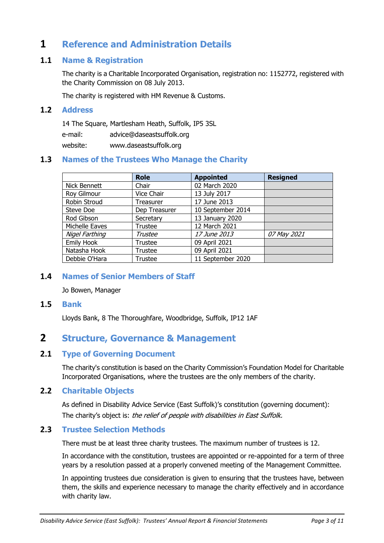# <span id="page-2-0"></span>**1 Reference and Administration Details**

## <span id="page-2-1"></span>**1.1 Name & Registration**

The charity is a Charitable Incorporated Organisation, registration no: 1152772, registered with the Charity Commission on 08 July 2013.

The charity is registered with HM Revenue & Customs.

#### <span id="page-2-2"></span>**1.2 Address**

14 The Square, Martlesham Heath, Suffolk, IP5 3SL

e-mail: advice@daseastsuffolk.org

website: www.daseastsuffolk.org

# <span id="page-2-3"></span>**1.3 Names of the Trustees Who Manage the Charity**

|                | <b>Role</b>   | <b>Appointed</b>    | <b>Resigned</b> |
|----------------|---------------|---------------------|-----------------|
| Nick Bennett   | Chair         | 02 March 2020       |                 |
| Roy Gilmour    | Vice Chair    | 13 July 2017        |                 |
| Robin Stroud   | Treasurer     | 17 June 2013        |                 |
| Steve Doe      | Dep Treasurer | 10 September 2014   |                 |
| Rod Gibson     | Secretary     | 13 January 2020     |                 |
| Michelle Eaves | Trustee       | 12 March 2021       |                 |
| Nigel Farthing | Trustee       | <i>17 June 2013</i> | 07 May 2021     |
| Emily Hook     | Trustee       | 09 April 2021       |                 |
| Natasha Hook   | Trustee       | 09 April 2021       |                 |
| Debbie O'Hara  | Trustee       | 11 September 2020   |                 |

# **1.4 Names of Senior Members of Staff**

<span id="page-2-4"></span>Jo Bowen, Manager

#### <span id="page-2-5"></span>**1.5 Bank**

Lloyds Bank, 8 The Thoroughfare, Woodbridge, Suffolk, IP12 1AF

# <span id="page-2-6"></span>**2 Structure, Governance & Management**

### <span id="page-2-7"></span>**2.1 Type of Governing Document**

The charity's constitution is based on the Charity Commission's Foundation Model for Charitable Incorporated Organisations, where the trustees are the only members of the charity.

### <span id="page-2-8"></span>**2.2 Charitable Objects**

As defined in Disability Advice Service (East Suffolk)'s constitution (governing document): The charity's object is: the relief of people with disabilities in East Suffolk.

### <span id="page-2-9"></span>**2.3 Trustee Selection Methods**

There must be at least three charity trustees. The maximum number of trustees is 12.

In accordance with the constitution, trustees are appointed or re-appointed for a term of three years by a resolution passed at a properly convened meeting of the Management Committee.

In appointing trustees due consideration is given to ensuring that the trustees have, between them, the skills and experience necessary to manage the charity effectively and in accordance with charity law.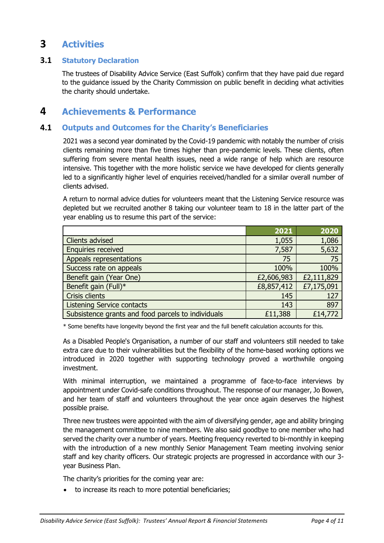# <span id="page-3-0"></span>**3 Activities**

## <span id="page-3-1"></span>**3.1 Statutory Declaration**

The trustees of Disability Advice Service (East Suffolk) confirm that they have paid due regard to the guidance issued by the Charity Commission on public benefit in deciding what activities the charity should undertake.

# <span id="page-3-2"></span>**4 Achievements & Performance**

# <span id="page-3-3"></span>**4.1 Outputs and Outcomes for the Charity's Beneficiaries**

2021 was a second year dominated by the Covid-19 pandemic with notably the number of crisis clients remaining more than five times higher than pre-pandemic levels. These clients, often suffering from severe mental health issues, need a wide range of help which are resource intensive. This together with the more holistic service we have developed for clients generally led to a significantly higher level of enquiries received/handled for a similar overall number of clients advised.

A return to normal advice duties for volunteers meant that the Listening Service resource was depleted but we recruited another 8 taking our volunteer team to 18 in the latter part of the year enabling us to resume this part of the service:

|                                                    | 2021       | 2020       |
|----------------------------------------------------|------------|------------|
| <b>Clients advised</b>                             | 1,055      | 1,086      |
| <b>Enquiries received</b>                          | 7,587      | 5,632      |
| Appeals representations                            | 75         | 75         |
| Success rate on appeals                            | 100%       | 100%       |
| Benefit gain (Year One)                            | £2,606,983 | £2,111,829 |
| Benefit gain (Full)*                               | £8,857,412 | £7,175,091 |
| Crisis clients                                     | 145        | 127        |
| <b>Listening Service contacts</b>                  | 143        | 897        |
| Subsistence grants and food parcels to individuals | £11,388    | £14,772    |

\* Some benefits have longevity beyond the first year and the full benefit calculation accounts for this.

As a Disabled People's Organisation, a number of our staff and volunteers still needed to take extra care due to their vulnerabilities but the flexibility of the home-based working options we introduced in 2020 together with supporting technology proved a worthwhile ongoing investment.

With minimal interruption, we maintained a programme of face-to-face interviews by appointment under Covid-safe conditions throughout. The response of our manager, Jo Bowen, and her team of staff and volunteers throughout the year once again deserves the highest possible praise.

Three new trustees were appointed with the aim of diversifying gender, age and ability bringing the management committee to nine members. We also said goodbye to one member who had served the charity over a number of years. Meeting frequency reverted to bi-monthly in keeping with the introduction of a new monthly Senior Management Team meeting involving senior staff and key charity officers. Our strategic projects are progressed in accordance with our 3 year Business Plan.

The charity's priorities for the coming year are:

to increase its reach to more potential beneficiaries;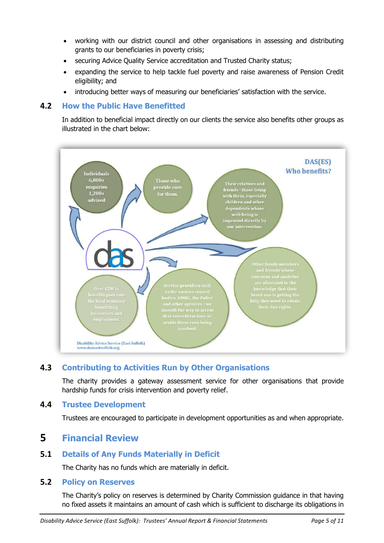- working with our district council and other organisations in assessing and distributing grants to our beneficiaries in poverty crisis;
- securing Advice Quality Service accreditation and Trusted Charity status;
- expanding the service to help tackle fuel poverty and raise awareness of Pension Credit eligibility; and
- introducing better ways of measuring our beneficiaries' satisfaction with the service.

# <span id="page-4-0"></span>**4.2 How the Public Have Benefitted**

In addition to beneficial impact directly on our clients the service also benefits other groups as illustrated in the chart below:



# <span id="page-4-1"></span>**4.3 Contributing to Activities Run by Other Organisations**

The charity provides a gateway assessment service for other organisations that provide hardship funds for crisis intervention and poverty relief.

# <span id="page-4-2"></span>**4.4 Trustee Development**

Trustees are encouraged to participate in development opportunities as and when appropriate.

# **5 Financial Review**

# **5.1 Details of Any Funds Materially in Deficit**

The Charity has no funds which are materially in deficit.

### **5.2 Policy on Reserves**

The Charity's policy on reserves is determined by Charity Commission guidance in that having no fixed assets it maintains an amount of cash which is sufficient to discharge its obligations in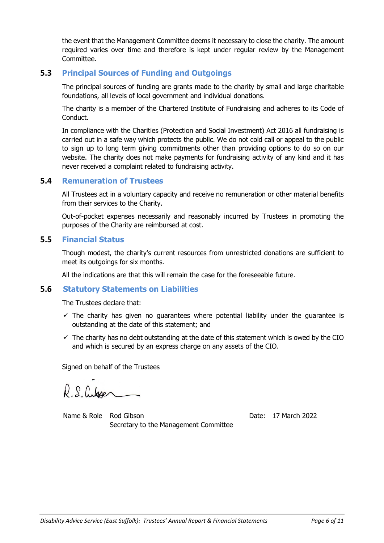the event that the Management Committee deems it necessary to close the charity. The amount required varies over time and therefore is kept under regular review by the Management Committee.

# <span id="page-5-0"></span>**5.3 Principal Sources of Funding and Outgoings**

The principal sources of funding are grants made to the charity by small and large charitable foundations, all levels of local government and individual donations.

The charity is a member of the Chartered Institute of Fundraising and adheres to its Code of **Conduct** 

In compliance with the Charities (Protection and Social Investment) Act 2016 all fundraising is carried out in a safe way which protects the public. We do not cold call or appeal to the public to sign up to long term giving commitments other than providing options to do so on our website. The charity does not make payments for fundraising activity of any kind and it has never received a complaint related to fundraising activity.

### <span id="page-5-1"></span>**5.4 Remuneration of Trustees**

All Trustees act in a voluntary capacity and receive no remuneration or other material benefits from their services to the Charity.

Out-of-pocket expenses necessarily and reasonably incurred by Trustees in promoting the purposes of the Charity are reimbursed at cost.

### <span id="page-5-2"></span>**5.5 Financial Status**

Though modest, the charity's current resources from unrestricted donations are sufficient to meet its outgoings for six months.

All the indications are that this will remain the case for the foreseeable future.

### <span id="page-5-3"></span>**5.6 Statutory Statements on Liabilities**

The Trustees declare that:

- $\checkmark$  The charity has given no quarantees where potential liability under the quarantee is outstanding at the date of this statement; and
- $\checkmark$  The charity has no debt outstanding at the date of this statement which is owed by the CIO and which is secured by an express charge on any assets of the CIO.

Signed on behalf of the Trustees

R.S. Cubser

Name & Role Rod Gibson **Date: 17 March 2022** Secretary to the Management Committee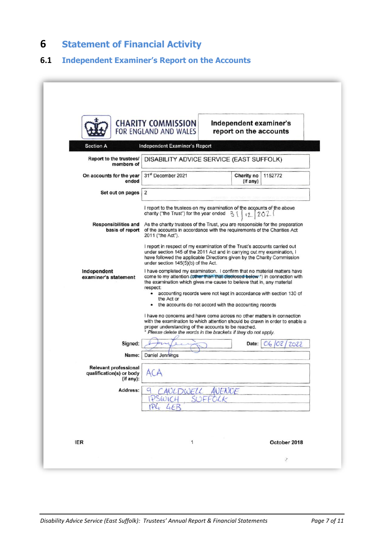# <span id="page-6-0"></span>**6 Statement of Financial Activity**

# <span id="page-6-1"></span>**6.1 Independent Examiner's Report on the Accounts**

|                                                                       | <b>CHARITY COMMISSION</b><br>FOR ENGLAND AND WALES                                                                                                                                                                                                                                                                                                                                          | Independent examiner's<br>report on the accounts                              |  |  |
|-----------------------------------------------------------------------|---------------------------------------------------------------------------------------------------------------------------------------------------------------------------------------------------------------------------------------------------------------------------------------------------------------------------------------------------------------------------------------------|-------------------------------------------------------------------------------|--|--|
| <b>Section A</b>                                                      | <b>Independent Examiner's Report</b>                                                                                                                                                                                                                                                                                                                                                        |                                                                               |  |  |
| Report to the trustees/<br>members of                                 | DISABILITY ADVICE SERVICE (EAST SUFFOLK)                                                                                                                                                                                                                                                                                                                                                    |                                                                               |  |  |
| On accounts for the year<br>ended                                     | 31st December 2021                                                                                                                                                                                                                                                                                                                                                                          | Charity no<br>1152772<br>(if any)                                             |  |  |
| Set out on pages                                                      | $\overline{2}$                                                                                                                                                                                                                                                                                                                                                                              |                                                                               |  |  |
|                                                                       | I report to the trustees on my examination of the accounts of the above<br>charity ("the Trust") for the year ended $3$ (                                                                                                                                                                                                                                                                   | 12221                                                                         |  |  |
| <b>Responsibilities and</b><br>basis of report                        | of the accounts in accordance with the requirements of the Charities Act<br>2011 ("the Act").                                                                                                                                                                                                                                                                                               | As the charity trustees of the Trust, you are responsible for the preparation |  |  |
|                                                                       | I report in respect of my examination of the Trust's accounts carried out<br>under section 145 of the 2011 Act and in carrying out my examination, I<br>have followed the applicable Directions given by the Charity Commission<br>under section 145(5)(b) of the Act.                                                                                                                      |                                                                               |  |  |
| Independent<br>examiner's statement                                   | I have completed my examination. I confirm that no material matters have<br>come to my attention (other than that disclosed below*) in connection with<br>the examination which gives me cause to believe that in, any material<br>respect:<br>• accounting records were not kept in accordance with section 130 of<br>the Act or<br>the accounts do not accord with the accounting records |                                                                               |  |  |
|                                                                       | I have no concerns and have come across no other matters in connection<br>with the examination to which attention should be drawn in order to enable a<br>proper understanding of the accounts to be reached.<br>* Please delete the words in the brackets if they do not apply.                                                                                                            |                                                                               |  |  |
| Signed:                                                               |                                                                                                                                                                                                                                                                                                                                                                                             | Date: 06 /02 /<br>2022                                                        |  |  |
| Name:                                                                 | Daniel Jennings                                                                                                                                                                                                                                                                                                                                                                             |                                                                               |  |  |
| <b>Relevant professional</b><br>qualification(s) or body<br>(if any): | ACA                                                                                                                                                                                                                                                                                                                                                                                         |                                                                               |  |  |
| Address:                                                              | <u>A CAULDWELL AVENUE</u><br>IPSWICH, SUFFOLK                                                                                                                                                                                                                                                                                                                                               |                                                                               |  |  |
|                                                                       | IP4 4EB                                                                                                                                                                                                                                                                                                                                                                                     |                                                                               |  |  |
| <b>IER</b>                                                            | 1                                                                                                                                                                                                                                                                                                                                                                                           | October 2018                                                                  |  |  |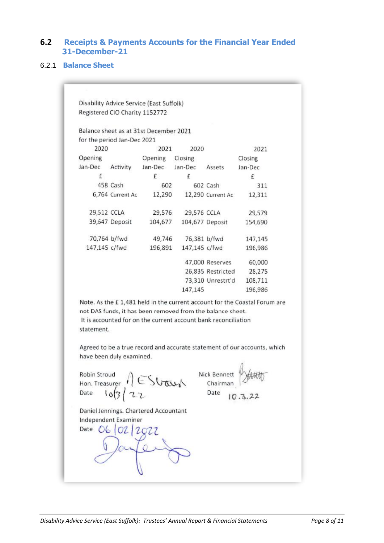# <span id="page-7-0"></span>**6.2 Receipts & Payments Accounts for the Financial Year Ended 31-December-21**

#### 6.2.1 **Balance Sheet**

Disability Advice Service (East Suffolk) Registered CIO Charity 1152772

Balance sheet as at 31st December 2021 for the period Jan-Dec 2021

| 2020          |                  | 2021    | 2020            |                   | 2021    |  |
|---------------|------------------|---------|-----------------|-------------------|---------|--|
| Opening       |                  | Opening | Closing         |                   | Closing |  |
| Jan-Dec       | Activity         | Jan-Dec | Jan-Dec         | Assets            | Jan-Dec |  |
| £             |                  | f       | f               |                   | £       |  |
|               | 458 Cash         | 602     |                 | 602 Cash          | 311     |  |
|               | 6,764 Current Ac | 12,290  |                 | 12,290 Current Ac | 12,311  |  |
| 29,512 CCLA   |                  | 29,576  | 29,576 CCLA     |                   | 29,579  |  |
|               | 39,647 Deposit   | 104,677 | 104,677 Deposit |                   | 154,690 |  |
| 70,764 b/fwd  |                  | 49,746  | 76,381 b/fwd    |                   | 147,145 |  |
| 147,145 c/fwd |                  | 196,891 | 147,145 c/fwd   |                   | 196,986 |  |
|               |                  |         |                 | 47,000 Reserves   | 60,000  |  |
|               |                  |         |                 | 26,835 Restricted | 28,275  |  |
|               |                  |         |                 | 73,310 Unrestrt'd | 108,711 |  |
|               |                  |         | 147,145         |                   | 196,986 |  |

Note. As the £1,481 held in the current account for the Coastal Forum are not DAS funds, it has been removed from the balance sheet. It is accounted for on the current account bank reconciliation statement.

Agreed to be a true record and accurate statement of our accounts, which have been duly examined.

Robin Stroud<br>Hon. Treasurer  $\bigcap_{Date} \in \text{Stab}_k$ 

Daniel Jennings. Chartered Accountant Independent Examiner

Date 06 02 2022

Nick Bennett Chairman

Date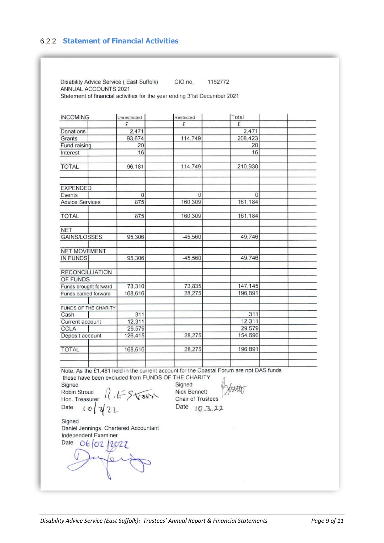## 6.2.2 **Statement of Financial Activities**

Disability Advice Service (East Suffolk) CIO no. 1152772 ANNUAL ACCOUNTS 2021 Statement of financial activities for the year ending 31st December 2021

| <b>INCOMING</b>                  | Unrestricted | Restricted | Total           |  |
|----------------------------------|--------------|------------|-----------------|--|
|                                  | £            | £          | £               |  |
| Donations                        | 2,471        |            | 2.471           |  |
| Grants                           | 93,674       | 114,749    | 208.423         |  |
| Fund raising                     | 20           |            | $\overline{20}$ |  |
| Interest                         | 16           |            | 16              |  |
| <b>TOTAL</b>                     | 96,181       | 114,749    | 210,930         |  |
|                                  |              |            |                 |  |
| <b>EXPENDED</b>                  | $\mathbf{0}$ | $\Omega$   | $\theta$        |  |
| Events<br><b>Advice Services</b> | 875          | 160,309    | 161,184         |  |
| <b>TOTAL</b>                     | 875          | 160,309    | 161,184         |  |
| <b>NET</b>                       |              |            |                 |  |
| <b>GAINS/LOSSES</b>              | 95,306       | $-45,560$  | 49,746          |  |
| <b>NET MOVEMENT</b>              |              |            |                 |  |
| <b>IN FUNDS</b>                  | 95,306       | $-45,560$  | 49.746          |  |
| <b>RECONCILLIATION</b>           |              |            |                 |  |
| OF FUNDS                         |              |            |                 |  |
| Funds brought forward            | 73,310       | 73,835     | 147.145         |  |
| Funds carried forward            | 168,616      | 28,275     | 196.891         |  |
| FUNDS OF THE CHARITY             |              |            |                 |  |
| Cash                             | 311          |            | 311             |  |
| Current account                  | 12,311       |            | 12,311          |  |
| CCLA                             | 29,579       |            | 29,579          |  |
| Deposit account                  | 126,415      | 28,275     | 154.690         |  |
| <b>TOTAL</b>                     | 168,616      | 28,275     | 196.891         |  |
|                                  |              |            |                 |  |

Note. As the £1,481 held in the current account for the Coastal Forum are not DAS funds these have been excluded from FUNDS OF THE CHARITY.

Signed Robin Stroud  $\rightarrow$ Hon. Treasurer Date  $10$  $\mathcal{B}$ 

Signed Nick Bennett Chair of Trustees Date 10.3.22

Signed Daniel Jennings. Chartered Accountant Independent Examiner Date 06 02 2022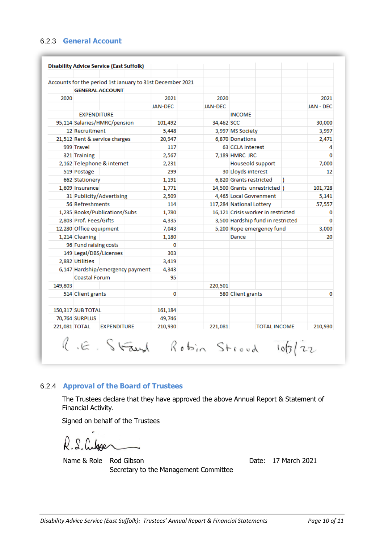### 6.2.3 **General Account**

|         |                                  |                        |       | Accounts for the period 1st January to 31st December 2021 |                                   |                                    |                               |       |                  |
|---------|----------------------------------|------------------------|-------|-----------------------------------------------------------|-----------------------------------|------------------------------------|-------------------------------|-------|------------------|
|         |                                  | <b>GENERAL ACCOUNT</b> |       |                                                           |                                   |                                    |                               |       |                  |
| 2020    |                                  |                        |       | 2021                                                      | 2020                              |                                    |                               |       | 2021             |
|         |                                  |                        |       | <b>JAN-DEC</b>                                            | <b>JAN-DEC</b>                    |                                    |                               |       | <b>JAN - DEC</b> |
|         | <b>EXPENDITURE</b>               |                        |       |                                                           |                                   | <b>INCOME</b>                      |                               |       |                  |
|         | 95,114 Salaries/HMRC/pension     |                        |       | 101,492                                                   | 34.462 SCC                        |                                    |                               |       | 30,000           |
|         | 12 Recruitment                   |                        |       | 5,448                                                     |                                   | 3,997 MS Society                   |                               |       | 3,997            |
|         | 21,512 Rent & service charges    |                        |       | 20,947                                                    |                                   | 6,870 Donations                    |                               |       | 2,471            |
|         | 999 Travel                       |                        |       | 117                                                       |                                   | 63 CCLA interest                   |                               |       | 4                |
|         | 321 Training                     |                        |       | 2,567                                                     |                                   | 7,189 HMRC JRC                     |                               |       | 0                |
|         | 2,162 Telephone & internet       |                        |       | 2,231                                                     |                                   | Houseold support                   |                               |       | 7,000            |
|         | 519 Postage                      |                        |       | 299                                                       |                                   | 30 Lloyds interest                 |                               |       | 12               |
|         | 662 Stationery                   |                        |       | 1,191                                                     |                                   | 6.820 Grants restricted            |                               |       |                  |
|         | 1,609 Insurance                  |                        |       | 1,771                                                     |                                   |                                    | 14,500 Grants unrestricted  ) |       | 101,728          |
|         | 31 Publicity/Advertising         |                        | 2,509 |                                                           | 4,465 Local Govrenment            |                                    |                               | 5,141 |                  |
|         | 56 Refreshments                  |                        |       | 114                                                       |                                   | 117,284 National Lottery           |                               |       | 57,557           |
|         | 1,235 Books/Publications/Subs    |                        | 1,780 |                                                           |                                   | 16,121 Crisis worker in restricted |                               | 0     |                  |
|         | 2,803 Prof. Fees/Gifts           |                        | 4,335 |                                                           | 3,500 Hardship fund in restricted |                                    | 0                             |       |                  |
|         | 12,280 Office equipment          |                        |       | 7,043                                                     |                                   |                                    | 5,200 Rope emergency fund     |       | 3,000            |
|         | 1,214 Cleaning                   |                        |       | 1,180                                                     |                                   | Dance                              |                               |       | 20               |
|         | 96 Fund raising costs            |                        |       | 0                                                         |                                   |                                    |                               |       |                  |
|         | 149 Legal/DBS/Licenses           |                        |       | 303                                                       |                                   |                                    |                               |       |                  |
|         | 2,882 Utilities                  |                        |       | 3,419                                                     |                                   |                                    |                               |       |                  |
|         | 6,147 Hardship/emergency payment |                        |       | 4,343                                                     |                                   |                                    |                               |       |                  |
|         | Coastal Forum                    |                        |       | 95                                                        |                                   |                                    |                               |       |                  |
| 149,803 |                                  |                        |       |                                                           | 220,501                           |                                    |                               |       |                  |
|         | 514 Client grants                |                        |       | 0                                                         |                                   | 580 Client grants                  |                               |       | 0                |
|         | 150,317 SUB TOTAL                |                        |       | 161,184                                                   |                                   |                                    |                               |       |                  |
|         | 70,764 SURPLUS                   |                        |       | 49,746                                                    |                                   |                                    |                               |       |                  |
|         | 221,081 TOTAL                    | <b>EXPENDITURE</b>     |       | 210,930                                                   | 221,081                           |                                    | <b>TOTAL INCOME</b>           |       | 210,930          |

### 6.2.4 **Approval of the Board of Trustees**

The Trustees declare that they have approved the above Annual Report & Statement of Financial Activity.

Signed on behalf of the Trustees

R.S. Cubser

Secretary to the Management Committee

Name & Role Rod Gibson Date: 17 March 2021